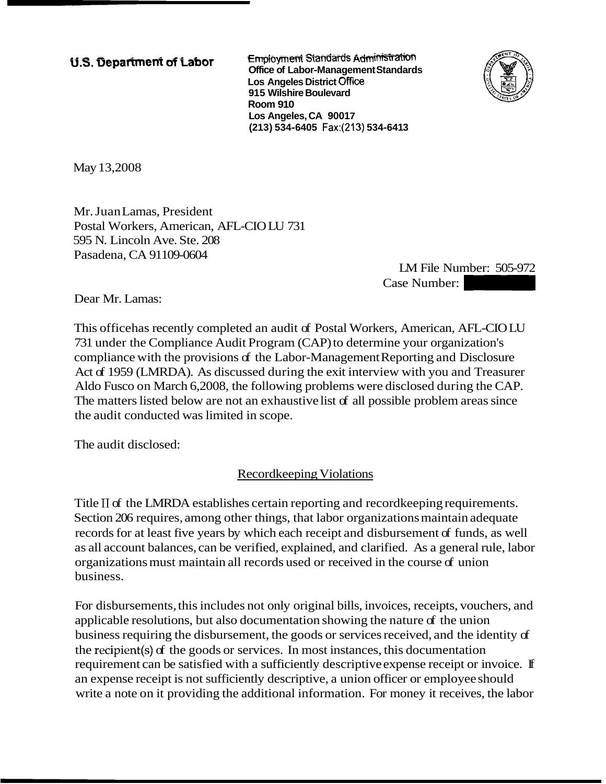**Employment Standards Administration U.S. Department of Labor** *Complement Standards Admitional Complement Standards**Complement Standards**Complement Standards**Complement Standards* **Los Angeles District Office 91 5 Wilshire Boulevard Room 910 Los Angeles, CA 90017 (21 3) 534-6405 Fax:(213) 534-641 3** 



May 13,2008

Mr. Juan Lamas, President Postal Workers, American, AFL-CIO LU 731 595 N. Lincoln Ave. Ste. 208 Pasadena, CA 91109-0604

LM File Number: 505-972 -6413<br>
LM File Number: 505-972<br>
Case Number:<br>
Frs, American, AFL-CIOLU

Dear Mr. Lamas:

This office has recently completed an audit of Postal Workers, American, AFL-CIO LU 731 under the Compliance Audit Program (CAP) to determine your organization's compliance with the provisions of the Labor-Management Reporting and Disclosure Act of 1959 (LMRDA). As discussed during the exit interview with you and Treasurer Aldo Fusco on March 6,2008, the following problems were disclosed during the CAP. The matters listed below are not an exhaustive list of all possible problem areas since the audit conducted was limited in scope.

The audit disclosed:

Recordkeeping Violations

Title II of the LMRDA establishes certain reporting and record keeping requirements. Section 206 requires, among other things, that labor organizations maintain adequate records for at least five years by which each receipt and disbursement of funds, as well as all account balances, can be verified, explained, and clarified. As a general rule, labor organizations must maintain all records used or received in the course of union business.

For disbursements, this includes not only original bills, invoices, receipts, vouchers, and applicable resolutions, but also documentation showing the nature of the union business requiring the disbursement, the goods or services received, and the identity of the recipient(s) of the goods or services. In most instances, this documentation requirement can be satisfied with a sufficiently descriptive expense receipt or invoice. If an expense receipt is not sufficiently descriptive, a union officer or employee should write a note on it providing the additional information. For money it receives, the labor